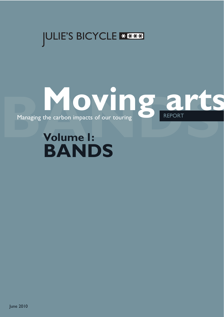



# **Volume 1: BANDS**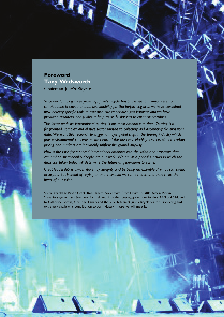# **Foreword Tony Wadsworth**  Chairman Julie's Bicycle

*Since our founding three years ago Julie's Bicycle has published four major research contributions to environmental sustainability for the performing arts; we have developed new industry-specific tools to measure our greenhouse gas impacts; and we have produced resources and guides to help music businesses to cut their emissions.* 

*This latest work on international touring is our most ambitious to date. Touring is a fragmented, complex and elusive sector unused to collecting and accounting for emissions data. We want this research to trigger a major global shift in the touring industry which puts environmental concerns at the heart of the business. Nothing less. Legislation, carbon pricing and markets are inexorably shifting the ground anyway.* 

*Now is the time for a shared international ambition with the vision and processes that can embed sustainability deeply into our work. We are at a pivotal junction in which the decisions taken today will determine the future of generations to come.* 

*Great leadership is always driven by integrity and by being an example of what you intend to inspire. But instead of relying on one individual we can all do it: and therein lies the heart of our vision.* 

Special thanks to Bryan Grant, Rob Hallett, Nick Levitt, Steve Levitt, Jo Little, Simon Moran, Steve Strange and Jazz Summers for their work on the steering group, our funders AEG and SJM, and to Catherine Bottrill, Christina Tsiarta and the superb team at Julie's Bicycle for this pioneering and extremely challenging contribution to our industry. I hope we will meet it.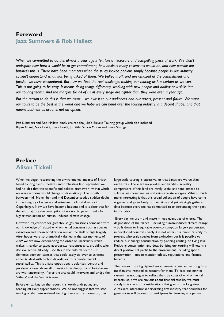## **Foreword Jazz Summers & Rob Hallett**

*When we committed to do this almost a year ago it felt like a necessary and compelling piece of work. We didn't anticipate how hard it would be to get commitment, how anxious many colleagues would be, and how outside our business this is. There have been moments when the study looked perilous simply because people in our industry couldn't understand what was being asked of them. We pulled it off, and are amazed at the commitment and passion we have encountered. But now we face the real challenge: making our touring as low carbon as we can. This is not going to be easy. It means doing things differently, working with new people and adding new skills into our touring teams. And the margins for all of us at every stage are tighter than they were even a year ago.* 

*But the reason to do this is that we must – we owe it to our audiences and our artists, present and future. We want our tours to be the best in the world and we hope we can hand over the touring industry in a decent shape, and that means business as usual is not an option.* 

Jazz Summers and Rob Hallett jointly chaired the Julie's Bicycle Touring group which also included Bryan Grant, Nick Levitt, Steve Levitt, Jo Little, Simon Moran and Steve Strange.

# **Preface Alison Tickell**

When we began researching the environmental impacts of British based touring bands, theatres and orchestras last September we had no idea that the scientific and political framework within which we were working would change so dramatically. The month between mid- November and mid-December seeded sudden doubt in the integrity of science and witnessed political disarray in Copenhagen. Now we have become hesitant and it is clear that for the vast majority the resumption of economic growth ranks far higher than action on human- induced climate change.

However, trajectories for greenhouse gas emissions combined with our knowledge of related environmental concerns such as species extinction and ocean acidification remain the stuff of high tragedy. After hopes were so dramatically dashed in the last moments of 2009 we are now experiencing the onset of uncertainty which makes it harder to gauge appropriate responses and, crucially, take decisive action. Already I see this in the cultural sector – it shimmies between stances that could easily tip over to schisms: either to deal with carbon dioxide, or to promote overall sustainability. This is a false opposition; it polarises identity and paralyses action; above all it unveils how deeply uncomfortable we are with uncertainty. If ever the arts could intervene and bridge the 'eithers' and the 'ors' it is now.

Before embarking on the report it is worth anticipating and heading off likely apprehensions. We do not suggest that we stop touring or that international touring is worse than domestic, that large-scale touring is excessive, or that bands are worse than orchestras. There are no goodies and baddies; in reality comparisons of this kind are rarely useful and tend instead to splinter arts communities and reinforce stereotypes. What is much more interesting is that this broad collection of people have come together and given freely of their time and painstakingly gathered data because everyone has committed to understanding their part in this crisis.

Every day we use  $-$  and waste  $-$  huge quantities of energy. The degradation of the planet – including human-induced climate change – boils down to inequitable over-consumption largely perpetrated in developed countries. Sadly it is not within our direct capacity to prevent wholesale species from extinction but it is possible to reduce our energy consumption by planning routing, or flying less. Reducing consumption and decarbonising our touring will return a direct positive net profit to the environment, including species preservation – not to mention ethical, reputational and financial benefits.

The research has highlighted environmental costs and existing fiscal mechanisms intended to account for them. To date our market system has not begun to reflect the true costs of environmental impacts; so if we are anxious about financial stability we must surely factor in cost considerations that give us the long view. A resilient international performing arts industry that flourishes for generations will be one that anticipates its financing to operate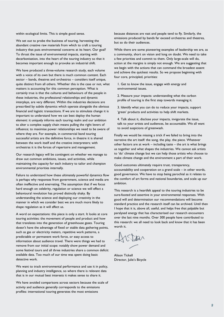within ecological limits. This is simple good sense.

We set out to probe the business of touring, harvesting the abundant creative raw materials from which to craft a touring industry that puts environmental concerns at its heart. Our goal? To thrust the issue of environmental impacts, starting with decarbonisation, into the heart of the touring industry so that it becomes important enough to provoke an industrial shift.

We have produced a three-volume research study, each volume with a voice of its own but there is much common content. Each sector – bands, theatres and orchestras – considers itself unique, quite distinct from all others. Whether this is the case or not, what matters is accounting for this common perception. What is certainly true is that the cultures and behaviours of the people in these industries, the professional relationships and dynamic interplays, are very different. Within the industries decisions are prescribed by subtle dynamics which operate alongside the obvious financial and logistic transactions. If we are to stimulate change it is important to understand how we can best deploy the human element: it uniquely informs each touring realm and our ambition to alter a complex supply chain means pulling the right levers of influence; to maximise power relationships we need to be aware of where they are. For example, in commercial band touring successful artists are the definitive force, in theatre it is shared between the work itself and the creative interpreters; with orchestras it is the forces of repertoire and management.

Our research legacy will be contingent on whether we manage to draw out common ambitions, issues, and activities, while maintaining the capacity for each industry to tailor and champion environmental priorities internally.

Failure to understand how these ultimately powerful dynamics flow is perhaps why responses from government, science and media are often ineffective and enervating. The assumption that if we focus hard enough on celebrity, regulation or science we will effect a behavioural revolution has proved distinctly shaky. By understanding the science and deploying our creativity in the manner in which we consider best we are much more likely to shape regulation as it will affect us.

A word on expectations: this piece is only a start. It looks at core touring activities: the movement of people and product and how that translates into the generation of greenhouse gases. Touring doesn't have the advantage of fixed or stable data gathering points, such as gas or electricity meters, repetitive work patterns, a predictable or permanent work force, or easy access to information about audience travel. There were things we had to remove from our initial scope: notably show power demand and some festival tours and all three industries share a common deficit: available data. Too much of our time was spent doing basic detective work.

We want to track environmental performance and use it in policy, planning and industry intelligence, so where there is relevant data that is in our mutual best interests it makes sense to share it.

We have avoided comparisons across sectors because the scale of activity and audience generally corresponds to the emissions profiles: international touring generates the most emissions

because distances are vast and people tend to fly. Similarly, the emissions produced by bands far exceed orchestras and theatres, but so do their audiences.

While there are some pioneering examples of leadership we are, as a community, short on vision and long on doubt. We need to take a few priorities and commit to them. Only large-scale will do, action at the margins is simply not enough. We are suggesting that we begin with the actions that can command the broadest assent and achieve the quickest results. So we propose beginning with four core, principled, priorities:

1. Get to know the issue, engage with energy and environmental issues.

2. Measure your impacts: understanding what the carbon profile of touring is the first step towards managing it.

3. Identify what you can do to reduce your impacts, support 'green' products and activities to help shift markets.

4. Talk about it, disclose your impacts, invigorate the issue, talk to your artists and audiences, be accountable. We all want to avoid suspicions of greenwash.

Finally we would be missing a trick if we failed to bring into the narrative the art itself: the song, the play, the piece. Whatever other factors are at work – including taste – the art is what brings us together and what shapes the industries. We cannot ask artists to 'do' climate change but we can help those artists who choose to make climate change and the environment a part of their work.

Good outcomes ultimately require trust, transparency, accountability and cooperation on a grand scale – in other words, good governance. We have to stop being parochial as it relates to the comfort of art forms and national boundaries, and scale up our ambition.

This research is a heartfelt appeal to the touring industries to be sure-footed and assertive in your environmental responses. With good will and determination our recommendations will become standard practice and the research itself can be archived. Until then I hope that it is, above all, useful, and helps free that palpable but paralysed energy that has characterised our research encounters over the last nine months. Over 300 people have contributed to this research: we all need to look back and know that it has been worth it.

Alison Tickell Director, Julie's Bicycle